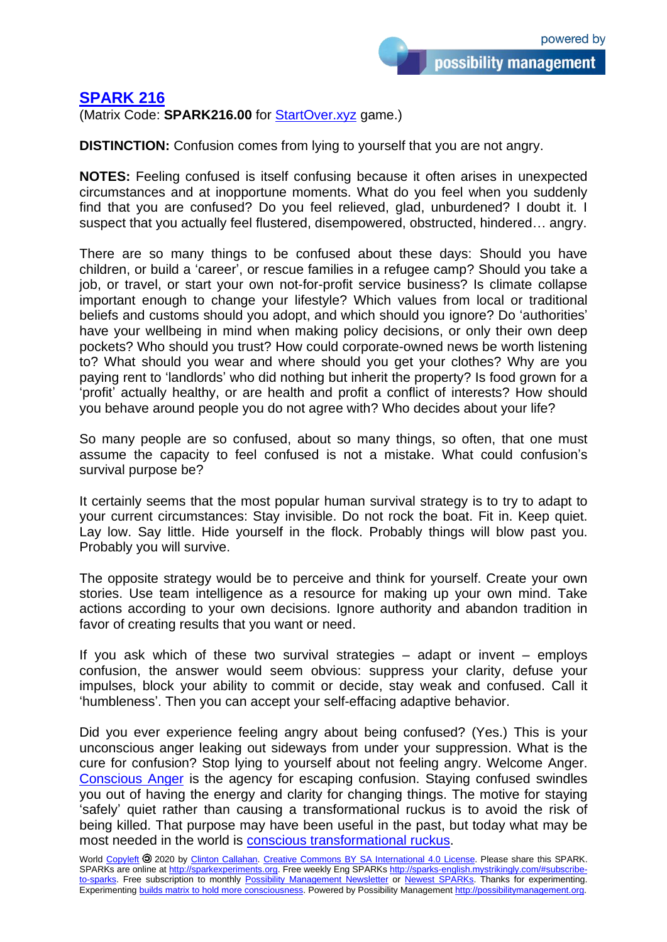## **[SPARK 216](http://sparks-english.mystrikingly.com/)**

(Matrix Code: **SPARK216.00** for [StartOver.xyz](http://startoverxyz.mystrikingly.com/) game.)

**DISTINCTION:** Confusion comes from lying to yourself that you are not angry.

**NOTES:** Feeling confused is itself confusing because it often arises in unexpected circumstances and at inopportune moments. What do you feel when you suddenly find that you are confused? Do you feel relieved, glad, unburdened? I doubt it. I suspect that you actually feel flustered, disempowered, obstructed, hindered… angry.

There are so many things to be confused about these days: Should you have children, or build a 'career', or rescue families in a refugee camp? Should you take a job, or travel, or start your own not-for-profit service business? Is climate collapse important enough to change your lifestyle? Which values from local or traditional beliefs and customs should you adopt, and which should you ignore? Do 'authorities' have your wellbeing in mind when making policy decisions, or only their own deep pockets? Who should you trust? How could corporate-owned news be worth listening to? What should you wear and where should you get your clothes? Why are you paying rent to 'landlords' who did nothing but inherit the property? Is food grown for a 'profit' actually healthy, or are health and profit a conflict of interests? How should you behave around people you do not agree with? Who decides about your life?

So many people are so confused, about so many things, so often, that one must assume the capacity to feel confused is not a mistake. What could confusion's survival purpose be?

It certainly seems that the most popular human survival strategy is to try to adapt to your current circumstances: Stay invisible. Do not rock the boat. Fit in. Keep quiet. Lay low. Say little. Hide yourself in the flock. Probably things will blow past you. Probably you will survive.

The opposite strategy would be to perceive and think for yourself. Create your own stories. Use team intelligence as a resource for making up your own mind. Take actions according to your own decisions. Ignore authority and abandon tradition in favor of creating results that you want or need.

If you ask which of these two survival strategies – adapt or invent – employs confusion, the answer would seem obvious: suppress your clarity, defuse your impulses, block your ability to commit or decide, stay weak and confused. Call it 'humbleness'. Then you can accept your self-effacing adaptive behavior.

Did you ever experience feeling angry about being confused? (Yes.) This is your unconscious anger leaking out sideways from under your suppression. What is the cure for confusion? Stop lying to yourself about not feeling angry. Welcome Anger. [Conscious Anger](http://consciousanger.mystrikingly.com/) is the agency for escaping confusion. Staying confused swindles you out of having the energy and clarity for changing things. The motive for staying 'safely' quiet rather than causing a transformational ruckus is to avoid the risk of being killed. That purpose may have been useful in the past, but today what may be most needed in the world is conscious [transformational ruckus.](http://causetransformation.mystrikingly.com/)